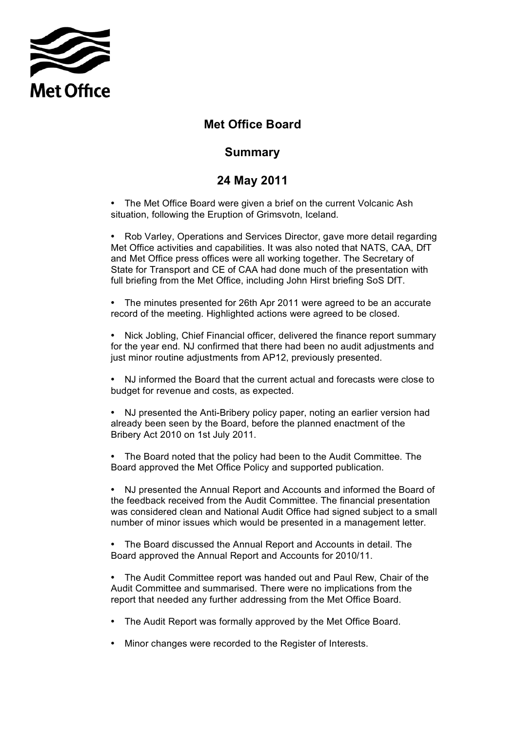

## **Met Office Board**

## **Summary**

## **24 May 2011**

• The Met Office Board were given a brief on the current Volcanic Ash situation, following the Eruption of Grimsvotn, Iceland.

 Met Office activities and capabilities. It was also noted that NATS, CAA, DfT • Rob Varley, Operations and Services Director, gave more detail regarding and Met Office press offices were all working together. The Secretary of State for Transport and CE of CAA had done much of the presentation with full briefing from the Met Office, including John Hirst briefing SoS DfT.

• The minutes presented for 26th Apr 2011 were agreed to be an accurate record of the meeting. Highlighted actions were agreed to be closed.

• Nick Jobling, Chief Financial officer, delivered the finance report summary for the year end. NJ confirmed that there had been no audit adjustments and just minor routine adjustments from AP12, previously presented.

• NJ informed the Board that the current actual and forecasts were close to budget for revenue and costs, as expected.

• NJ presented the Anti-Bribery policy paper, noting an earlier version had already been seen by the Board, before the planned enactment of the Bribery Act 2010 on 1st July 2011.

• The Board noted that the policy had been to the Audit Committee. The Board approved the Met Office Policy and supported publication.

 was considered clean and National Audit Office had signed subject to a small • NJ presented the Annual Report and Accounts and informed the Board of the feedback received from the Audit Committee. The financial presentation number of minor issues which would be presented in a management letter.

• The Board discussed the Annual Report and Accounts in detail. The Board approved the Annual Report and Accounts for 2010/11.

 report that needed any further addressing from the Met Office Board. • The Audit Committee report was handed out and Paul Rew, Chair of the Audit Committee and summarised. There were no implications from the

- The Audit Report was formally approved by the Met Office Board.
- Minor changes were recorded to the Register of Interests.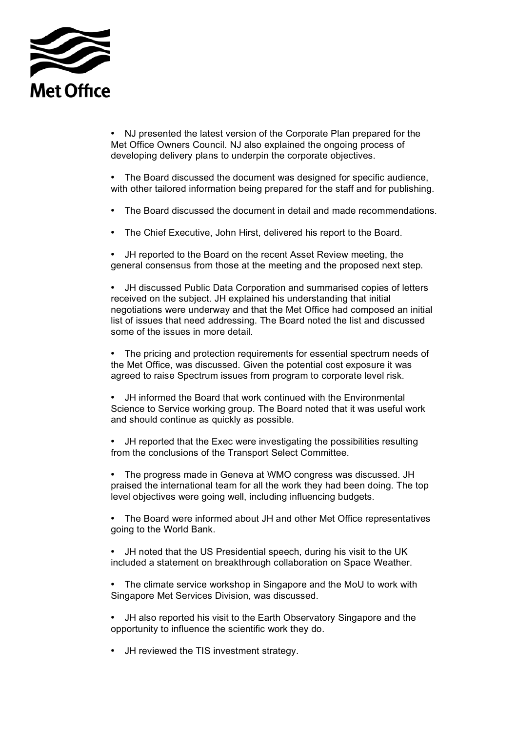

 Met Office Owners Council. NJ also explained the ongoing process of • NJ presented the latest version of the Corporate Plan prepared for the developing delivery plans to underpin the corporate objectives.

• The Board discussed the document was designed for specific audience, with other tailored information being prepared for the staff and for publishing.

- The Board discussed the document in detail and made recommendations.
- The Chief Executive, John Hirst, delivered his report to the Board.

• JH reported to the Board on the recent Asset Review meeting, the general consensus from those at the meeting and the proposed next step.

• JH discussed Public Data Corporation and summarised copies of letters received on the subject. JH explained his understanding that initial negotiations were underway and that the Met Office had composed an initial list of issues that need addressing. The Board noted the list and discussed some of the issues in more detail.

 • The pricing and protection requirements for essential spectrum needs of the Met Office, was discussed. Given the potential cost exposure it was agreed to raise Spectrum issues from program to corporate level risk.

 Science to Service working group. The Board noted that it was useful work and should continue as quickly as possible. • JH informed the Board that work continued with the Environmental

• JH reported that the Exec were investigating the possibilities resulting from the conclusions of the Transport Select Committee.

• The progress made in Geneva at WMO congress was discussed. JH praised the international team for all the work they had been doing. The top level objectives were going well, including influencing budgets.

• The Board were informed about JH and other Met Office representatives going to the World Bank.

• JH noted that the US Presidential speech, during his visit to the UK included a statement on breakthrough collaboration on Space Weather.

• The climate service workshop in Singapore and the MoU to work with Singapore Met Services Division, was discussed.

- JH also reported his visit to the Earth Observatory Singapore and the opportunity to influence the scientific work they do.
- JH reviewed the TIS investment strategy.